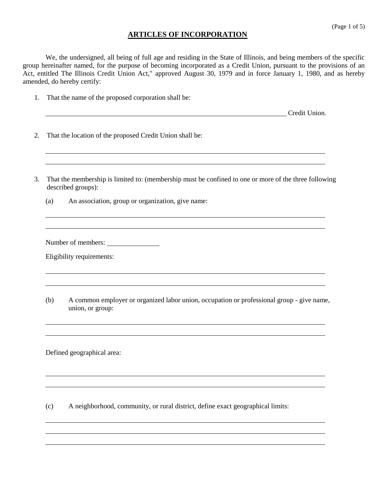#### **ARTICLES OF INCORPORATION**

We, the undersigned, all being of full age and residing in the State of Illinois, and being members of the specific group hereinafter named, for the purpose of becoming incorporated as a Credit Union, pursuant to the provisions of an Act, entitled The Illinois Credit Union Act," approved August 30, 1979 and in force January 1, 1980, and as hereby amended, do hereby certify:

1. That the name of the proposed corporation shall be:

**Credit Union.** 

- 2. That the location of the proposed Credit Union shall be:
- 3. That the membership is limited to: (membership must be confined to one or more of the three following described groups):
	- (a) An association, group or organization, give name:

Number of members:

Eligibility requirements:

(b) A common employer or organized labor union, occupation or professional group - give name, union, or group:

Defined geographical area:

(c) A neighborhood, community, or rural district, define exact geographical limits: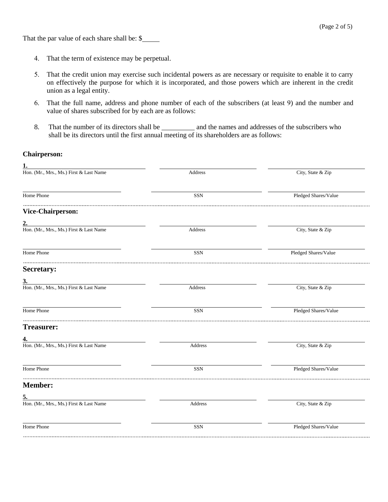That the par value of each share shall be: \$

- 4. That the term of existence may be perpetual.
- 5. That the credit union may exercise such incidental powers as are necessary or requisite to enable it to carry on effectively the purpose for which it is incorporated, and those powers which are inherent in the credit union as a legal entity.
- 6. That the full name, address and phone number of each of the subscribers (at least 9) and the number and value of shares subscribed for by each are as follows:
- 8. That the number of its directors shall be \_\_\_\_\_\_\_\_\_\_\_\_ and the names and addresses of the subscribers who shall be its directors until the first annual meeting of its shareholders are as follows:

#### **Chairperson:**

| City, State & Zip<br>Pledged Shares/Value |
|-------------------------------------------|
|                                           |
|                                           |
|                                           |
|                                           |
| City, State & Zip                         |
| Pledged Shares/Value                      |
|                                           |
|                                           |
| City, State & Zip                         |
| Pledged Shares/Value                      |
|                                           |
|                                           |
| City, State & Zip                         |
| Pledged Shares/Value                      |
|                                           |
|                                           |
| City, State & Zip                         |
| Pledged Shares/Value                      |
|                                           |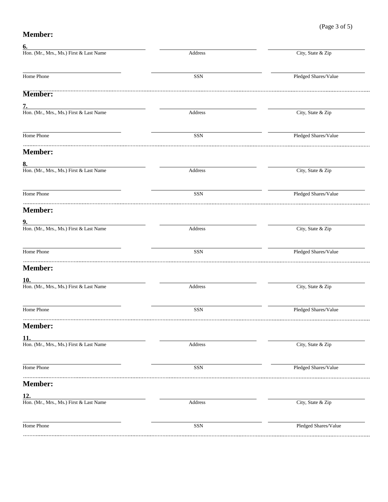## (Page 3 of 5)

# **Member:**

**6.**

| 6.                                                   |         |                      |
|------------------------------------------------------|---------|----------------------|
| Hon. (Mr., Mrs., Ms.) First & Last Name              | Address | City, State & Zip    |
| Home Phone                                           | $SSN$   | Pledged Shares/Value |
| Member:                                              |         |                      |
|                                                      |         |                      |
| $\frac{7}{100}$ . (Mr., Mrs., Ms.) First & Last Name | Address | City, State & Zip    |
| Home Phone                                           | SSN     | Pledged Shares/Value |
| <b>Member:</b>                                       |         |                      |
|                                                      |         |                      |
| 8.<br>Hon. (Mr., Mrs., Ms.) First & Last Name        | Address | City, State & Zip    |
| Home Phone                                           | SSN     | Pledged Shares/Value |
| <b>Member:</b>                                       |         |                      |
| <u>9.</u>                                            |         |                      |
| Hon. (Mr., Mrs., Ms.) First & Last Name              | Address | City, State & Zip    |
| Home Phone                                           | SSN     | Pledged Shares/Value |
| <b>Member:</b>                                       |         |                      |
| <u>10.</u>                                           |         |                      |
| Hon. (Mr., Mrs., Ms.) First & Last Name              | Address | City, State & Zip    |
| Home Phone                                           | SSN     | Pledged Shares/Value |
| <b>Member:</b>                                       |         |                      |
| 11.                                                  |         |                      |
| Hon. (Mr., Mrs., Ms.) First & Last Name              | Address | City, State & Zip    |
| Home Phone                                           | SSN     | Pledged Shares/Value |
| <b>Member:</b>                                       |         |                      |
| <u>12.</u>                                           |         |                      |
| Hon. (Mr., Mrs., Ms.) First & Last Name              | Address | City, State & Zip    |
| Home Phone                                           | SSN     | Pledged Shares/Value |
|                                                      |         |                      |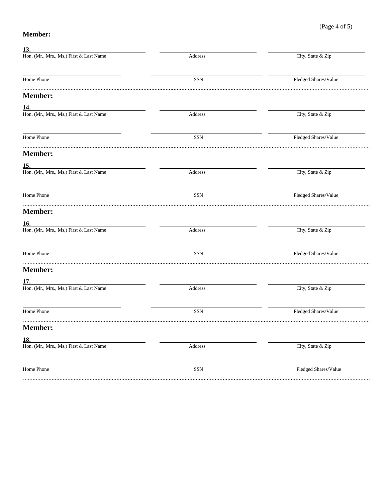## (Page 4 of 5)

#### **Member:**

| <u>13.</u>                              |                              |                      |
|-----------------------------------------|------------------------------|----------------------|
| Hon. (Mr., Mrs., Ms.) First & Last Name | Address                      | City, State & Zip    |
| Home Phone                              | SSN                          | Pledged Shares/Value |
| <b>Member:</b>                          |                              |                      |
| <u>14.</u>                              |                              |                      |
| Hon. (Mr., Mrs., Ms.) First & Last Name | Address                      | City, State & Zip    |
| Home Phone                              | SSN                          | Pledged Shares/Value |
| <b>Member:</b>                          |                              |                      |
| <u>15.</u>                              |                              |                      |
| Hon. (Mr., Mrs., Ms.) First & Last Name | Address                      | City, State & Zip    |
| Home Phone                              | SSN                          | Pledged Shares/Value |
| <b>Member:</b>                          |                              |                      |
| <u> 16.</u>                             |                              |                      |
| Hon. (Mr., Mrs., Ms.) First & Last Name | Address                      | City, State & Zip    |
| Home Phone                              | SSN                          | Pledged Shares/Value |
| <b>Member:</b>                          |                              |                      |
| <u>17.</u>                              |                              |                      |
| Hon. (Mr., Mrs., Ms.) First & Last Name | Address                      | City, State & Zip    |
| Home Phone                              | SSN                          | Pledged Shares/Value |
| <b>Member:</b>                          |                              |                      |
| 18.                                     |                              |                      |
| Hon. (Mr., Mrs., Ms.) First & Last Name | $\operatorname{\sf Address}$ | City, State & Zip    |
| Home Phone                              | <b>SSN</b>                   | Pledged Shares/Value |
|                                         |                              |                      |